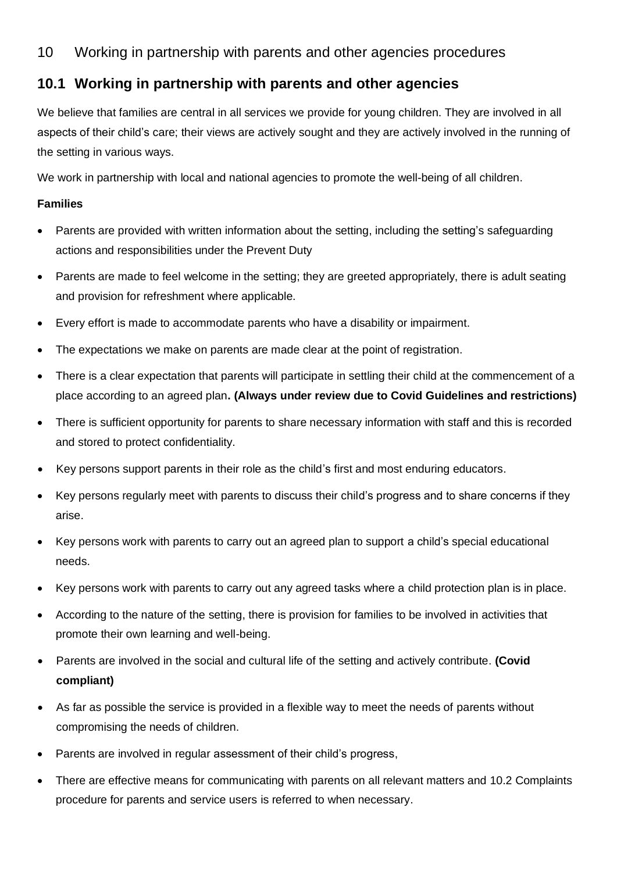# 10 Working in partnership with parents and other agencies procedures

# **10.1 Working in partnership with parents and other agencies**

We believe that families are central in all services we provide for young children. They are involved in all aspects of their child's care; their views are actively sought and they are actively involved in the running of the setting in various ways.

We work in partnership with local and national agencies to promote the well-being of all children.

### **Families**

- Parents are provided with written information about the setting, including the setting's safeguarding actions and responsibilities under the Prevent Duty
- Parents are made to feel welcome in the setting; they are greeted appropriately, there is adult seating and provision for refreshment where applicable.
- Every effort is made to accommodate parents who have a disability or impairment.
- The expectations we make on parents are made clear at the point of registration.
- There is a clear expectation that parents will participate in settling their child at the commencement of a place according to an agreed plan**. (Always under review due to Covid Guidelines and restrictions)**
- There is sufficient opportunity for parents to share necessary information with staff and this is recorded and stored to protect confidentiality.
- Key persons support parents in their role as the child's first and most enduring educators.
- Key persons regularly meet with parents to discuss their child's progress and to share concerns if they arise.
- Key persons work with parents to carry out an agreed plan to support a child's special educational needs.
- Key persons work with parents to carry out any agreed tasks where a child protection plan is in place.
- According to the nature of the setting, there is provision for families to be involved in activities that promote their own learning and well-being.
- Parents are involved in the social and cultural life of the setting and actively contribute. **(Covid compliant)**
- As far as possible the service is provided in a flexible way to meet the needs of parents without compromising the needs of children.
- Parents are involved in regular assessment of their child's progress,
- There are effective means for communicating with parents on all relevant matters and 10.2 Complaints procedure for parents and service users is referred to when necessary.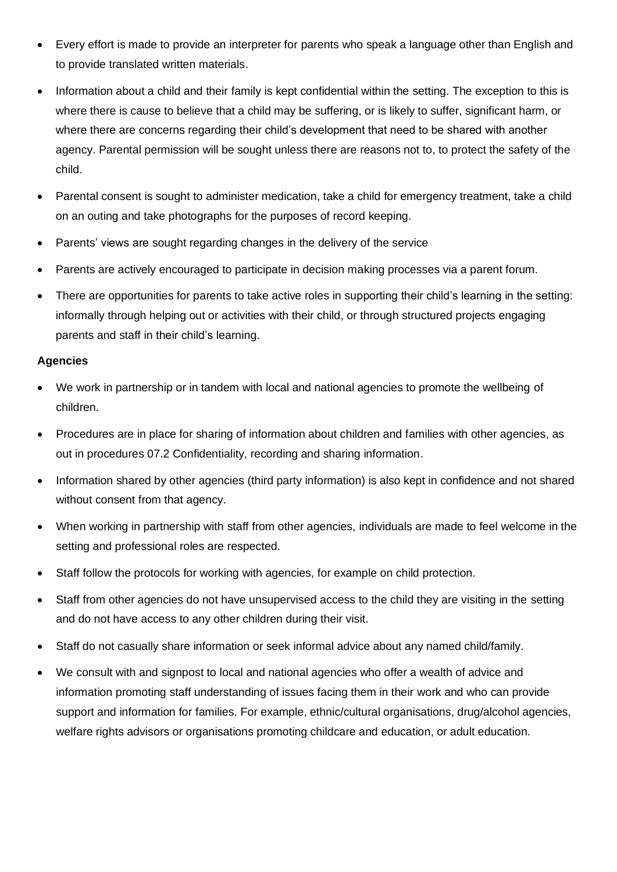- Every effort is made to provide an interpreter for parents who speak a language other than English and to provide translated written materials.
- Information about a child and their family is kept confidential within the setting. The exception to this is where there is cause to believe that a child may be suffering, or is likely to suffer, significant harm, or where there are concerns regarding their child's development that need to be shared with another agency. Parental permission will be sought unless there are reasons not to, to protect the safety of the child.
- Parental consent is sought to administer medication, take a child for emergency treatment, take a child on an outing and take photographs for the purposes of record keeping.
- Parents' views are sought regarding changes in the delivery of the service
- Parents are actively encouraged to participate in decision making processes via a parent forum.
- There are opportunities for parents to take active roles in supporting their child's learning in the setting: informally through helping out or activities with their child, or through structured projects engaging parents and staff in their child's learning.

### **Agencies**

- We work in partnership or in tandem with local and national agencies to promote the wellbeing of children.
- Procedures are in place for sharing of information about children and families with other agencies, as out in procedures 07.2 Confidentiality, recording and sharing information.
- Information shared by other agencies (third party information) is also kept in confidence and not shared without consent from that agency.
- When working in partnership with staff from other agencies, individuals are made to feel welcome in the setting and professional roles are respected.
- Staff follow the protocols for working with agencies, for example on child protection.
- Staff from other agencies do not have unsupervised access to the child they are visiting in the setting and do not have access to any other children during their visit.
- Staff do not casually share information or seek informal advice about any named child/family.
- We consult with and signpost to local and national agencies who offer a wealth of advice and information promoting staff understanding of issues facing them in their work and who can provide support and information for families. For example, ethnic/cultural organisations, drug/alcohol agencies, welfare rights advisors or organisations promoting childcare and education, or adult education.